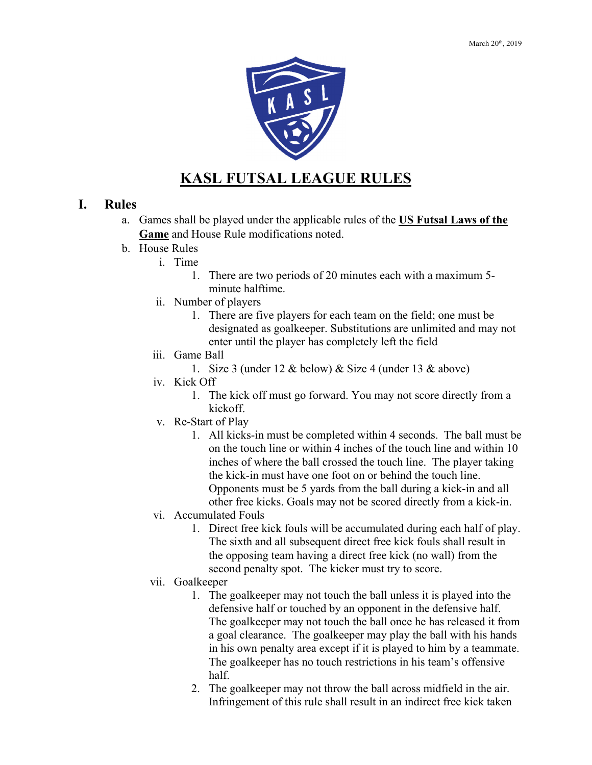

# **KASL FUTSAL LEAGUE RULES**

#### **I. Rules**

- a. Games shall be played under the applicable rules of the **US Futsal Laws of the Game** and House Rule modifications noted.
- b. House Rules
	- i. Time
		- 1. There are two periods of 20 minutes each with a maximum 5 minute halftime.
	- ii. Number of players
		- 1. There are five players for each team on the field; one must be designated as goalkeeper. Substitutions are unlimited and may not enter until the player has completely left the field
	- iii. Game Ball
		- 1. Size 3 (under 12 & below) & Size 4 (under 13 & above)
	- iv. Kick Off
		- 1. The kick off must go forward. You may not score directly from a kickoff.
	- v. Re-Start of Play
		- 1. All kicks-in must be completed within 4 seconds. The ball must be on the touch line or within 4 inches of the touch line and within 10 inches of where the ball crossed the touch line. The player taking the kick-in must have one foot on or behind the touch line. Opponents must be 5 yards from the ball during a kick-in and all other free kicks. Goals may not be scored directly from a kick-in.
	- vi. Accumulated Fouls
		- 1. Direct free kick fouls will be accumulated during each half of play. The sixth and all subsequent direct free kick fouls shall result in the opposing team having a direct free kick (no wall) from the second penalty spot. The kicker must try to score.
	- vii. Goalkeeper
		- 1. The goalkeeper may not touch the ball unless it is played into the defensive half or touched by an opponent in the defensive half. The goalkeeper may not touch the ball once he has released it from a goal clearance. The goalkeeper may play the ball with his hands in his own penalty area except if it is played to him by a teammate. The goalkeeper has no touch restrictions in his team's offensive half.
		- 2. The goalkeeper may not throw the ball across midfield in the air. Infringement of this rule shall result in an indirect free kick taken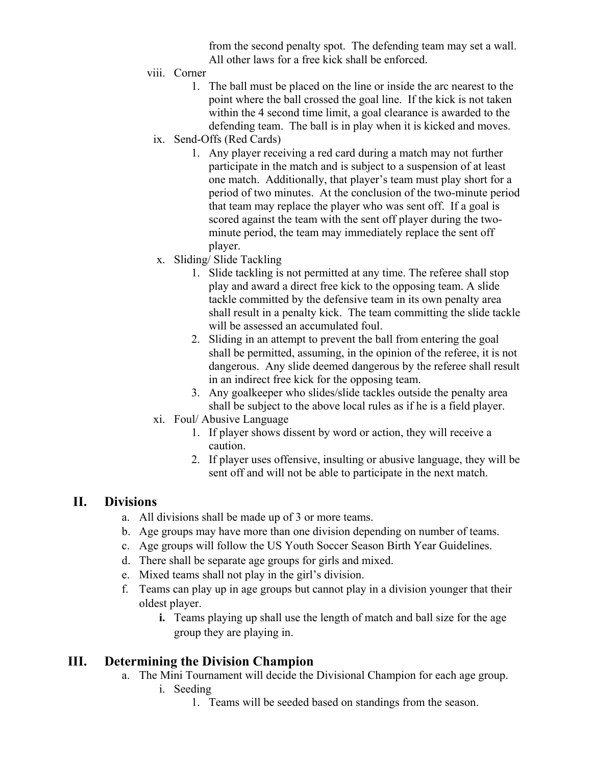from the second penalty spot. The defending team may set a wall. All other laws for a free kick shall be enforced.

- viii. Corner
	- 1. The ball must be placed on the line or inside the arc nearest to the point where the ball crossed the goal line. If the kick is not taken within the 4 second time limit, a goal clearance is awarded to the defending team. The ball is in play when it is kicked and moves.
	- ix. Send-Offs (Red Cards)
		- 1. Any player receiving a red card during a match may not further participate in the match and is subject to a suspension of at least one match. Additionally, that player's team must play short for a period of two minutes. At the conclusion of the two-minute period that team may replace the player who was sent off. If a goal is scored against the team with the sent off player during the twominute period, the team may immediately replace the sent off player.
	- x. Sliding/ Slide Tackling
		- 1. Slide tackling is not permitted at any time. The referee shall stop play and award a direct free kick to the opposing team. A slide tackle committed by the defensive team in its own penalty area shall result in a penalty kick. The team committing the slide tackle will be assessed an accumulated foul.
		- 2. Sliding in an attempt to prevent the ball from entering the goal shall be permitted, assuming, in the opinion of the referee, it is not dangerous. Any slide deemed dangerous by the referee shall result in an indirect free kick for the opposing team.
		- 3. Any goalkeeper who slides/slide tackles outside the penalty area shall be subject to the above local rules as if he is a field player.
	- xi. Foul/ Abusive Language
		- 1. If player shows dissent by word or action, they will receive a caution.
		- 2. If player uses offensive, insulting or abusive language, they will be sent off and will not be able to participate in the next match.

#### **II. Divisions**

- a. All divisions shall be made up of 3 or more teams.
- b. Age groups may have more than one division depending on number of teams.
- c. Age groups will follow the US Youth Soccer Season Birth Year Guidelines.
- d. There shall be separate age groups for girls and mixed.
- e. Mixed teams shall not play in the girl's division.
- f. Teams can play up in age groups but cannot play in a division younger that their oldest player.
	- **i.** Teams playing up shall use the length of match and ball size for the age group they are playing in.

## **III. Determining the Division Champion**

- a. The Mini Tournament will decide the Divisional Champion for each age group. i. Seeding
	- 1. Teams will be seeded based on standings from the season.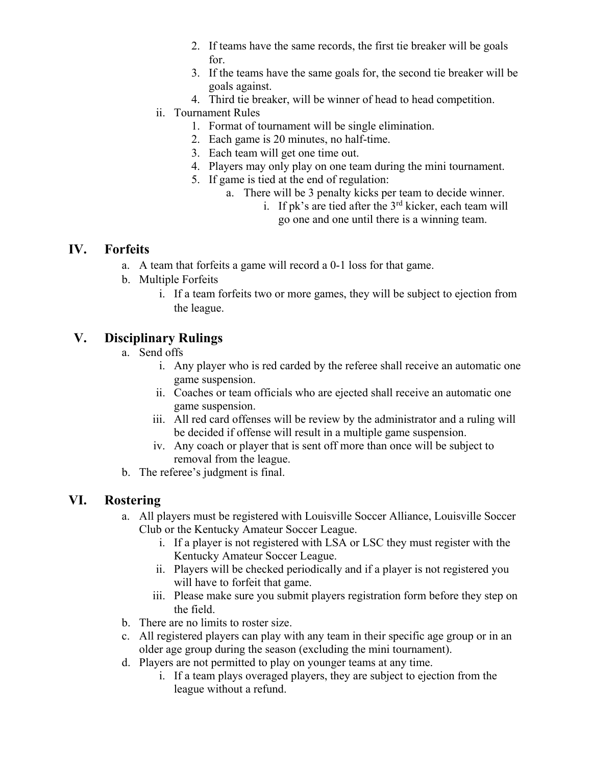- 2. If teams have the same records, the first tie breaker will be goals for.
- 3. If the teams have the same goals for, the second tie breaker will be goals against.
- 4. Third tie breaker, will be winner of head to head competition.

#### ii. Tournament Rules

- 1. Format of tournament will be single elimination.
- 2. Each game is 20 minutes, no half-time.
- 3. Each team will get one time out.
- 4. Players may only play on one team during the mini tournament.
- 5. If game is tied at the end of regulation:
	- a. There will be 3 penalty kicks per team to decide winner.
		- i. If pk's are tied after the  $3<sup>rd</sup>$  kicker, each team will go one and one until there is a winning team.

#### **IV. Forfeits**

- a. A team that forfeits a game will record a 0-1 loss for that game.
- b. Multiple Forfeits
	- i. If a team forfeits two or more games, they will be subject to ejection from the league.

# **V. Disciplinary Rulings**

- a. Send offs
	- i. Any player who is red carded by the referee shall receive an automatic one game suspension.
	- ii. Coaches or team officials who are ejected shall receive an automatic one game suspension.
	- iii. All red card offenses will be review by the administrator and a ruling will be decided if offense will result in a multiple game suspension.
	- iv. Any coach or player that is sent off more than once will be subject to removal from the league.
- b. The referee's judgment is final.

## **VI. Rostering**

- a. All players must be registered with Louisville Soccer Alliance, Louisville Soccer Club or the Kentucky Amateur Soccer League.
	- i. If a player is not registered with LSA or LSC they must register with the Kentucky Amateur Soccer League.
	- ii. Players will be checked periodically and if a player is not registered you will have to forfeit that game.
	- iii. Please make sure you submit players registration form before they step on the field.
- b. There are no limits to roster size.
- c. All registered players can play with any team in their specific age group or in an older age group during the season (excluding the mini tournament).
- d. Players are not permitted to play on younger teams at any time.
	- i. If a team plays overaged players, they are subject to ejection from the league without a refund.